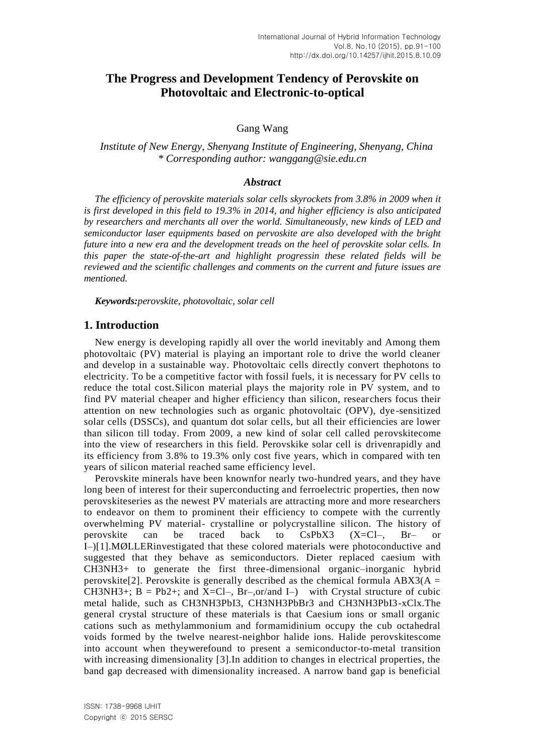# **The Progress and Development Tendency of Perovskite on Photovoltaic and Electronic-to-optical**

### Gang Wang

*Institute of New Energy, Shenyang Institute of Engineering, Shenyang, China \* Corresponding author: [wanggang@sie.edu.cn](mailto:wanggang@sie.edu.cn)*

### *Abstract*

*The efficiency of perovskite materials solar cells skyrockets from 3.8% in 2009 when it is first developed in this field to 19.3% in 2014, and higher efficiency is also anticipated by researchers and merchants all over the world. Simultaneously, new kinds of LED and semiconductor laser equipments based on pervoskite are also developed with the bright future into a new era and the development treads on the heel of perovskite solar cells. In this paper the state-of-the-art and highlight progressin these related fields will be reviewed and the scientific challenges and comments on the current and future issues are mentioned.*

*Keywords:perovskite, photovoltaic, solar cell*

#### **1. Introduction**

New energy is developing rapidly all over the world inevitably and Among them photovoltaic (PV) material is playing an important role to drive the world cleaner and develop in a sustainable way. Photovoltaic cells directly convert thephotons to electricity. To be a competitive factor with fossil fuels, it is necessary for PV cells to reduce the total cost.Silicon material plays the majority role in PV system, and to find PV material cheaper and higher efficiency than silicon, researchers focus their attention on new technologies such as organic photovoltaic (OPV), dye-sensitized solar cells (DSSCs), and quantum dot solar cells, but all their efficiencies are lower than silicon till today. From 2009, a new kind of solar cell called perovskitecome into the view of researchers in this field. Perovskike solar cell is drivenrapidly and its efficiency from 3.8% to 19.3% only cost five years, which in compared with ten years of silicon material reached same efficiency level.

Perovskite minerals have been knownfor nearly two-hundred years, and they have long been of interest for their superconducting and ferroelectric properties, then now perovskiteseries as the newest PV materials are attracting more and more researchers to endeavor on them to prominent their efficiency to compete with the currently overwhelming PV material- crystalline or polycrystalline silicon. The history of perovskite can be traced back to CsPbX3 (X=Cl–, Br– or I–)[1].MØLLERinvestigated that these colored materials were photoconductive and suggested that they behave as semiconductors. Dieter replaced caesium with CH3NH3+ to generate the first three-dimensional organic–inorganic hybrid perovskite<sup>[2]</sup>. Perovskite is generally described as the chemical formula ABX3( $A =$ CH3NH3+;  $B = Pb2+$ ; and X=Cl–,  $Br$ –,or/and I–) with Crystal structure of cubic metal halide, such as CH3NH3PbI3, CH3NH3PbBr3 and CH3NH3PbI3-xClx.The general crystal structure of these materials is that Caesium ions or small organic cations such as methylammonium and formamidinium occupy the cub octahedral voids formed by the twelve nearest-neighbor halide ions. Halide perovskitescome into account when theywerefound to present a semiconductor-to-metal transition with increasing dimensionality [3].In addition to changes in electrical properties, the band gap decreased with dimensionality increased. A narrow band gap is beneficial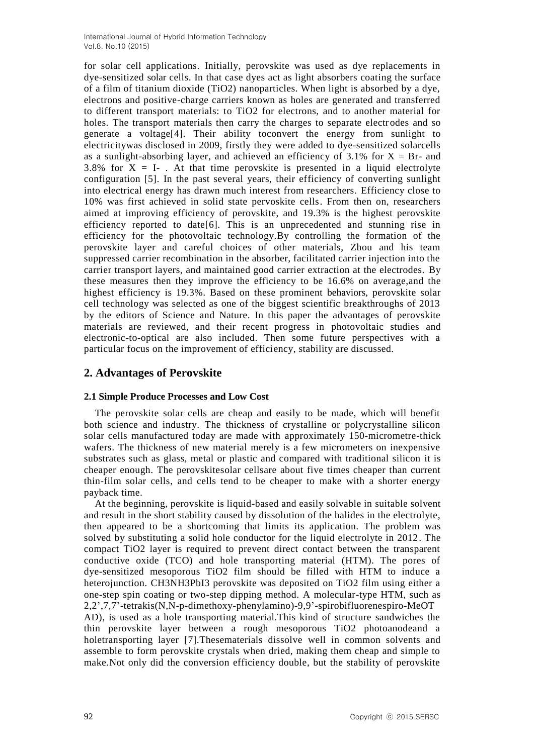for solar cell applications. Initially, perovskite was used as dye replacements in dye-sensitized solar cells. In that case dyes act as light absorbers coating the surface of a film of titanium dioxide (TiO2) nanoparticles. When light is absorbed by a dye, electrons and positive-charge carriers known as holes are generated and transferred to different transport materials: to TiO2 for electrons, and to another material for holes. The transport materials then carry the charges to separate electrodes and so generate a voltage[4]. Their ability toconvert the energy from sunlight to electricitywas disclosed in 2009, firstly they were added to dye-sensitized solarcells as a sunlight-absorbing layer, and achieved an efficiency of  $3.1\%$  for  $X = Br$ - and 3.8% for  $X = I$ . At that time perovskite is presented in a liquid electrolyte configuration [5]. In the past several years, their efficiency of converting sunlight into electrical energy has drawn much interest from researchers. Efficiency close to 10% was first achieved in solid state pervoskite cells. From then on, researchers aimed at improving efficiency of perovskite, and 19.3% is the highest perovskite efficiency reported to date[6]. This is an unprecedented and stunning rise in efficiency for the photovoltaic technology.By controlling the formation of the perovskite layer and careful choices of other materials, Zhou and his team suppressed carrier recombination in the absorber, facilitated carrier injection into the carrier transport layers, and maintained good carrier extraction at the electrodes. By these measures then they improve the efficiency to be 16.6% on average,and the highest efficiency is 19.3%. Based on these prominent behaviors, perovskite solar cell technology was selected as one of the biggest scientific breakthroughs of 2013 by the editors of Science and Nature. In this paper the advantages of perovskite materials are reviewed, and their recent progress in photovoltaic studies and electronic-to-optical are also included. Then some future perspectives with a particular focus on the improvement of efficiency, stability are discussed.

## **2. Advantages of Perovskite**

### **2.1 Simple Produce Processes and Low Cost**

The perovskite solar cells are cheap and easily to be made, which will benefit both science and industry. The thickness of crystalline or polycrystalline silicon solar cells manufactured today are made with approximately 150-micrometre-thick wafers. The thickness of new material merely is a few micrometers on inexpensive substrates such as glass, metal or plastic and compared with traditional silicon it is cheaper enough. The perovskitesolar cellsare about five times cheaper than current thin-film solar cells, and cells tend to be cheaper to make with a shorter energy payback time.

At the beginning, perovskite is liquid-based and easily solvable in suitable solvent and result in the short stability caused by dissolution of the halides in the electrolyte, then appeared to be a shortcoming that limits its application. The problem was solved by substituting a solid hole conductor for the liquid electrolyte in 2012. The compact TiO2 layer is required to prevent direct contact between the transparent conductive oxide (TCO) and hole transporting material (HTM). The pores of dye-sensitized mesoporous TiO2 film should be filled with HTM to induce a heterojunction. CH3NH3PbI3 perovskite was deposited on TiO2 film using either a one-step spin coating or two-step dipping method. A molecular-type HTM, such as 2,2',7,7'-tetrakis(N,N-p-dimethoxy-phenylamino)-9,9'-spirobifluorenespiro-MeOT AD), is used as a hole transporting material.This kind of structure sandwiches the thin perovskite layer between a rough mesoporous TiO2 photoanodeand a holetransporting layer [7].Thesematerials dissolve well in common solvents and assemble to form perovskite crystals when dried, making them cheap and simple to make.Not only did the conversion efficiency double, but the stability of perovskite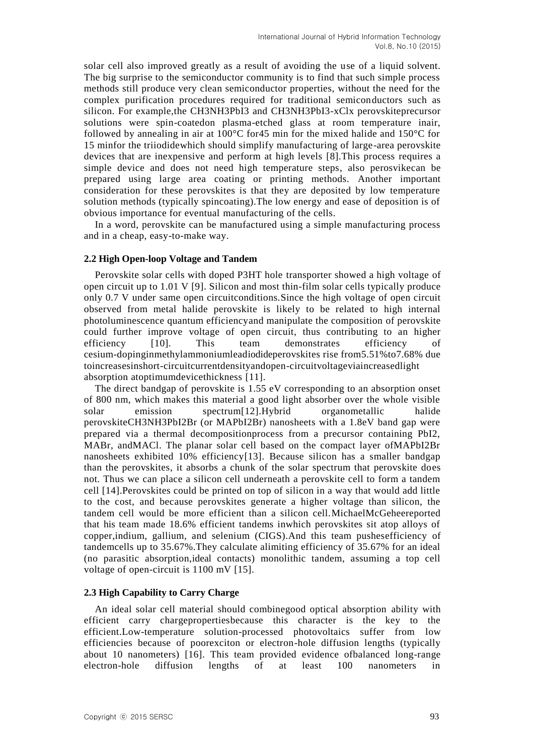solar cell also improved greatly as a result of avoiding the use of a liquid solvent. The big surprise to the semiconductor community is to find that such simple process methods still produce very clean semiconductor properties, without the need for the complex purification procedures required for traditional semiconductors such as silicon. For example,the CH3NH3PbI3 and CH3NH3PbI3-xClx perovskiteprecursor solutions were spin-coatedon plasma-etched glass at room temperature inair, followed by annealing in air at 100°C for45 min for the mixed halide and 150°C for 15 minfor the triiodidewhich should simplify manufacturing of large-area perovskite devices that are inexpensive and perform at high levels [8].This process requires a simple device and does not need high temperature steps, also perosvikecan be prepared using large area coating or printing methods. Another important consideration for these perovskites is that they are deposited by low temperature solution methods (typically spincoating).The low energy and ease of deposition is of obvious importance for eventual manufacturing of the cells.

In a word, perovskite can be manufactured using a simple manufacturing process and in a cheap, easy-to-make way.

#### **2.2 High Open-loop Voltage and Tandem**

Perovskite solar cells with doped P3HT hole transporter showed a high voltage of open circuit up to 1.01 V [9]. Silicon and most thin-film solar cells typically produce only 0.7 V under same open circuitconditions.Since the high voltage of open circuit observed from metal halide perovskite is likely to be related to high internal photoluminescence quantum efficiencyand manipulate the composition of perovskite could further improve voltage of open circuit, thus contributing to an higher efficiency [10]. This team demonstrates efficiency of cesium-dopinginmethylammoniumleadiodideperovskites rise from5.51%to7.68% due toincreasesinshort-circuitcurrentdensityandopen-circuitvoltageviaincreasedlight absorption atoptimumdevicethickness [11].

The direct bandgap of perovskite is 1.55 eV corresponding to an absorption onset of 800 nm, which makes this material a good light absorber over the whole visible solar emission spectrum[12].Hybrid organometallic halide perovskiteCH3NH3PbI2Br (or MAPbI2Br) nanosheets with a 1.8eV band gap were prepared via a thermal decompositionprocess from a precursor containing PbI2, MABr, andMACl. The planar solar cell based on the compact layer ofMAPbI2Br nanosheets exhibited 10% efficiency[13]. Because silicon has a smaller bandgap than the perovskites, it absorbs a chunk of the solar spectrum that perovskite does not. Thus we can place a silicon cell underneath a perovskite cell to form a tandem cell [14].Perovskites could be printed on top of silicon in a way that would add little to the cost, and because perovskites generate a higher voltage than silicon, the tandem cell would be more efficient than a silicon cell.MichaelMcGeheereported that his team made 18.6% efficient tandems inwhich perovskites sit atop alloys of copper,indium, gallium, and selenium (CIGS).And this team pushesefficiency of tandemcells up to 35.67%.They calculate alimiting efficiency of 35.67% for an ideal (no parasitic absorption,ideal contacts) monolithic tandem, assuming a top cell voltage of open-circuit is 1100 mV [15].

#### **2.3 High Capability to Carry Charge**

An ideal solar cell material should combinegood optical absorption ability with efficient carry chargepropertiesbecause this character is the key to the efficient.Low-temperature solution-processed photovoltaics suffer from low efficiencies because of poorexciton or electron-hole diffusion lengths (typically about 10 nanometers) [16]. This team provided evidence ofbalanced long-range electron-hole diffusion lengths of at least 100 nanometers in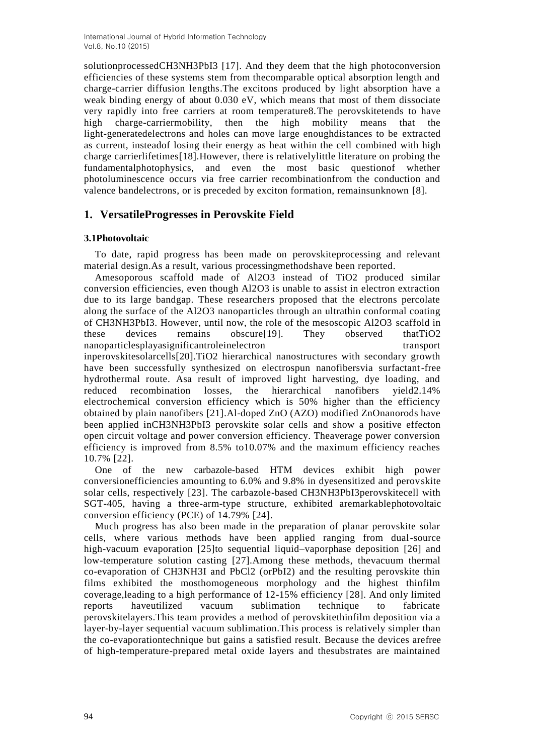solutionprocessedCH3NH3PbI3 [17]. And they deem that the high photoconversion efficiencies of these systems stem from thecomparable optical absorption length and charge-carrier diffusion lengths.The excitons produced by light absorption have a weak binding energy of about 0.030 eV, which means that most of them dissociate very rapidly into free carriers at room temperature8.The perovskitetends to have high charge-carriermobility, then the high mobility means that the light-generatedelectrons and holes can move large enoughdistances to be extracted as current, insteadof losing their energy as heat within the cell combined with high charge carrierlifetimes[18].However, there is relativelylittle literature on probing the fundamentalphotophysics, and even the most basic questionof whether photoluminescence occurs via free carrier recombinationfrom the conduction and valence bandelectrons, or is preceded by exciton formation, remainsunknown [8].

## **1. VersatileProgresses in Perovskite Field**

### **3.1Photovoltaic**

To date, rapid progress has been made on perovskiteprocessing and relevant material design.As a result, various processingmethodshave been reported.

Amesoporous scaffold made of Al2O3 instead of TiO2 produced similar conversion efficiencies, even though Al2O3 is unable to assist in electron extraction due to its large bandgap. These researchers proposed that the electrons percolate along the surface of the Al2O3 nanoparticles through an ultrathin conformal coating of CH3NH3PbI3. However, until now, the role of the mesoscopic Al2O3 scaffold in these devices remains obscure[19]. They observed thatTiO2 nanoparticlesplayasignificantroleinelectron transport inperovskitesolarcells[20].TiO2 hierarchical nanostructures with secondary growth have been successfully synthesized on electrospun nanofibersvia surfactant-free hydrothermal route. Asa result of improved light harvesting, dye loading, and reduced recombination losses, the hierarchical nanofibers yield2.14% electrochemical conversion efficiency which is 50% higher than the efficiency obtained by plain nanofibers [21].Al-doped ZnO (AZO) modified ZnOnanorods have been applied inCH3NH3PbI3 perovskite solar cells and show a positive effecton open circuit voltage and power conversion efficiency. Theaverage power conversion efficiency is improved from 8.5% to10.07% and the maximum efficiency reaches 10.7% [22].

One of the new carbazole-based HTM devices exhibit high power conversionefficiencies amounting to 6.0% and 9.8% in dyesensitized and perovskite solar cells, respectively [23]. The carbazole-based CH3NH3PbI3perovskitecell with SGT-405, having a three-arm-type structure, exhibited aremarkablephotovoltaic conversion efficiency (PCE) of 14.79% [24].

Much progress has also been made in the preparation of planar perovskite solar cells, where various methods have been applied ranging from dual-source high-vacuum evaporation [25]to sequential liquid–vaporphase deposition [26] and low-temperature solution casting [27].Among these methods, thevacuum thermal co-evaporation of CH3NH3I and PbCl2 (orPbI2) and the resulting perovskite thin films exhibited the mosthomogeneous morphology and the highest thinfilm coverage,leading to a high performance of 12-15% efficiency [28]. And only limited reports haveutilized vacuum sublimation technique to fabricate perovskitelayers.This team provides a method of perovskitethinfilm deposition via a layer-by-layer sequential vacuum sublimation.This process is relatively simpler than the co-evaporationtechnique but gains a satisfied result. Because the devices arefree of high-temperature-prepared metal oxide layers and thesubstrates are maintained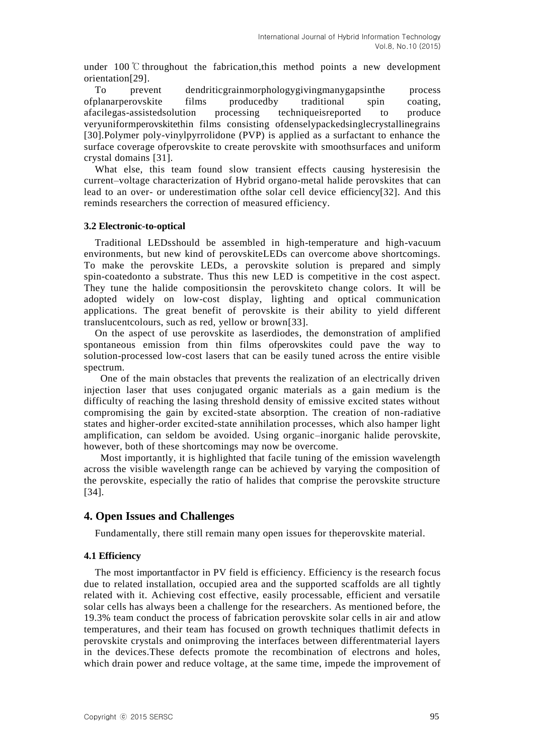under 100  $\degree$  throughout the fabrication, this method points a new development orientation[29].

To prevent dendriticgrainmorphologygivingmanygapsinthe process ofplanarperovskite films producedby traditional spin coating, afacilegas-assistedsolution processing techniqueisreported to produce veryuniformperovskitethin films consisting ofdenselypackedsinglecrystallinegrains [30].Polymer poly-vinylpyrrolidone (PVP) is applied as a surfactant to enhance the surface coverage ofperovskite to create perovskite with smoothsurfaces and uniform crystal domains [31].

What else, this team found slow transient effects causing hysteresisin the current–voltage characterization of Hybrid organo-metal halide perovskites that can lead to an over- or underestimation ofthe solar cell device efficiency[32]. And this reminds researchers the correction of measured efficiency.

#### **3.2 Electronic-to-optical**

Traditional LEDsshould be assembled in high-temperature and high-vacuum environments, but new kind of perovskiteLEDs can overcome above shortcomings. To make the perovskite LEDs, a perovskite solution is prepared and simply spin-coatedonto a substrate. Thus this new LED is competitive in the cost aspect. They tune the halide compositionsin the perovskiteto change colors. It will be adopted widely on low-cost display, lighting and optical communication applications. The great benefit of perovskite is their ability to yield different translucentcolours, such as red, yellow or brown[33].

On the aspect of use perovskite as laserdiodes, the demonstration of amplified spontaneous emission from thin films ofperovskites could pave the way to solution-processed low-cost lasers that can be easily tuned across the entire visible spectrum.

One of the main obstacles that prevents the realization of an electrically driven injection laser that uses conjugated organic materials as a gain medium is the difficulty of reaching the lasing threshold density of emissive excited states without compromising the gain by excited-state absorption. The creation of non-radiative states and higher-order excited-state annihilation processes, which also hamper light amplification, can seldom be avoided. Using organic–inorganic halide perovskite, however, both of these shortcomings may now be overcome.

Most importantly, it is highlighted that facile tuning of the emission wavelength across the visible wavelength range can be achieved by varying the composition of the perovskite, especially the ratio of halides that comprise the perovskite structure [34].

### **4. Open Issues and Challenges**

Fundamentally, there still remain many open issues for theperovskite material.

#### **4.1 Efficiency**

The most importantfactor in PV field is efficiency. Efficiency is the research focus due to related installation, occupied area and the supported scaffolds are all tightly related with it. Achieving cost effective, easily processable, efficient and versatile solar cells has always been a challenge for the researchers. As mentioned before, the 19.3% team conduct the process of fabrication perovskite solar cells in air and atlow temperatures, and their team has focused on growth techniques thatlimit defects in perovskite crystals and onimproving the interfaces between differentmaterial layers in the devices.These defects promote the recombination of electrons and holes, which drain power and reduce voltage, at the same time, impede the improvement of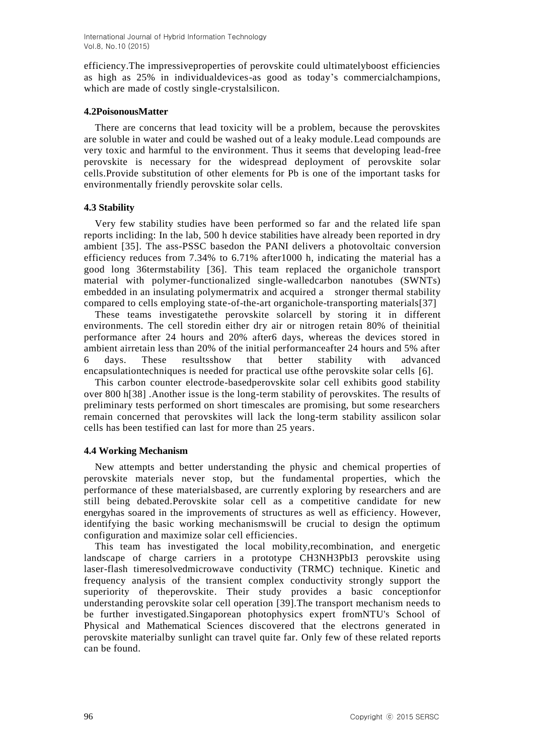efficiency.The impressiveproperties of perovskite could ultimatelyboost efficiencies as high as 25% in individualdevices-as good as today's commercialchampions, which are made of costly single-crystalsilicon.

### **4.2PoisonousMatter**

There are concerns that lead toxicity will be a problem, because the perovskites are soluble in water and could be washed out of a leaky module.Lead compounds are very toxic and harmful to the environment. Thus it seems that developing lead-free perovskite is necessary for the widespread deployment of perovskite solar cells.Provide substitution of other elements for Pb is one of the important tasks for environmentally friendly perovskite solar cells.

### **4.3 Stability**

Very few stability studies have been performed so far and the related life span reports incliding: In the lab, 500 h device stabilities have already been reported in dry ambient [35]. The ass-PSSC basedon the PANI delivers a photovoltaic conversion efficiency reduces from 7.34% to 6.71% after1000 h, indicating the material has a good long 36termstability [36]. This team replaced the organichole transport material with polymer-functionalized single-walledcarbon nanotubes (SWNTs) embedded in an insulating polymermatrix and acquired a stronger thermal stability compared to cells employing state-of-the-art organichole-transporting materials[37]

These teams investigatethe perovskite solarcell by storing it in different environments. The cell storedin either dry air or nitrogen retain 80% of theinitial performance after 24 hours and 20% after6 days, whereas the devices stored in ambient airretain less than 20% of the initial performanceafter 24 hours and 5% after 6 days. These resultsshow that better stability with advanced encapsulationtechniques is needed for practical use ofthe perovskite solar cells [6].

This carbon counter electrode-basedperovskite solar cell exhibits good stability over 800 h[38] .Another issue is the long-term stability of perovskites. The results of preliminary tests performed on short timescales are promising, but some researchers remain concerned that perovskites will lack the long-term stability assilicon solar cells has been testified can last for more than 25 years.

### **4.4 Working Mechanism**

New attempts and better understanding the physic and chemical properties of perovskite materials never stop, but the fundamental properties, which the performance of these materialsbased, are currently exploring by researchers and are still being debated.Perovskite solar cell as a competitive candidate for new energyhas soared in the improvements of structures as well as efficiency. However, identifying the basic working mechanismswill be crucial to design the optimum configuration and maximize solar cell efficiencies.

This team has investigated the local mobility,recombination, and energetic landscape of charge carriers in a prototype CH3NH3PbI3 perovskite using laser-flash timeresolvedmicrowave conductivity (TRMC) technique. Kinetic and frequency analysis of the transient complex conductivity strongly support the superiority of theperovskite. Their study provides a basic conceptionfor understanding perovskite solar cell operation [39].The transport mechanism needs to be further investigated.Singaporean photophysics expert fromNTU's School of Physical and Mathematical Sciences discovered that the electrons generated in perovskite materialby sunlight can travel quite far. Only few of these related reports can be found.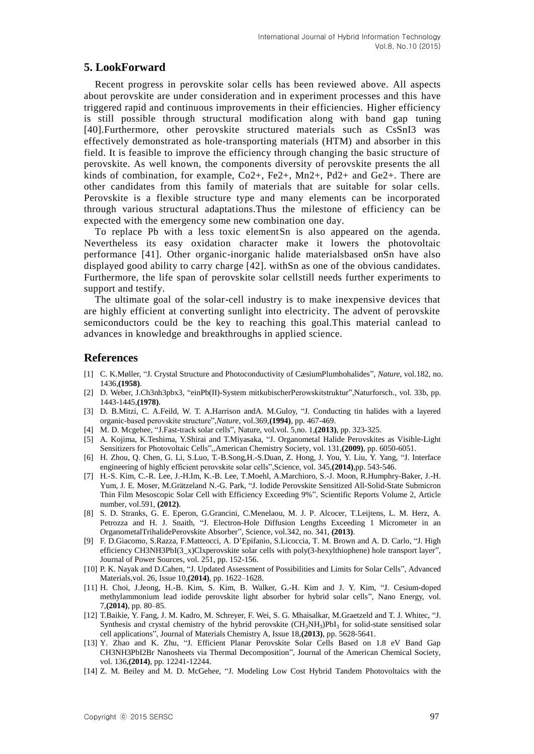### **5. LookForward**

Recent progress in perovskite solar cells has been reviewed above. All aspects about perovskite are under consideration and in experiment processes and this have triggered rapid and continuous improvements in their efficiencies. Higher efficiency is still possible through structural modification along with band gap tuning [40].Furthermore, other perovskite structured materials such as CsSnI3 was effectively demonstrated as hole-transporting materials (HTM) and absorber in this field. It is feasible to improve the efficiency through changing the basic structure of perovskite. As well known, the components diversity of perovskite presents the all kinds of combination, for example,  $Co2+$ ,  $Fe2+$ ,  $Mn2+$ ,  $Pd2+$  and  $Ge2+$ . There are other candidates from this family of materials that are suitable for solar cells. Perovskite is a flexible structure type and many elements can be incorporated through various structural adaptations.Thus the milestone of efficiency can be expected with the emergency some new combination one day.

To replace Pb with a less toxic elementSn is also appeared on the agenda. Nevertheless its easy oxidation character make it lowers the photovoltaic performance [41]. Other organic-inorganic halide materialsbased onSn have also displayed good ability to carry charge [42]. withSn as one of the obvious candidates. Furthermore, the life span of perovskite solar cellstill needs further experiments to support and testify.

The ultimate goal of the solar-cell industry is to make inexpensive devices that are highly efficient at converting sunlight into electricity. The advent of perovskite semiconductors could be the key to reaching this goal.This material canlead to advances in knowledge and breakthroughs in applied science.

#### **References**

- [1] C. K.Møller, "J. Crystal Structure and Photoconductivity of CæsiumPlumbohalides", *Nature*, vol.182, no. 1436,**(1958)**.
- [2] D. Weber, J.Ch3nh3pbx3, "einPb(II)-System mitkubischerPerowskitstruktur",Naturforsch., vol. 33b, pp. 1443-1445,**(1978)**.
- [3] D. B.Mitzi, C. A.Feild, W. T. A.Harrison andA. M.Guloy, "J. Conducting tin halides with a layered organic-based perovskite structure",*Nature*, vol.369,**(1994)**, pp. 467-469.
- [4] M. D. Mcgehee, "J.Fast-track solar cells", Nature, vol.vol. 5,no. 1,**(2013)**, pp. 323-325.
- [5] A. Kojima, K.Teshima, Y.Shirai and T.Miyasaka, "J. Organometal Halide Perovskites as Visible-Light Sensitizers for Photovoltaic Cells",,American Chemistry Society, vol. 131,**(2009)**, pp. 6050-6051.
- [6] H. Zhou, Q. Chen, G. Li, S.Luo, T.-B.Song,H.-S.Duan, Z. Hong, J. You, Y. Liu, Y. Yang, "J. Interface engineering of highly efficient perovskite solar cells",Science, vol. 345,**(2014)**,pp. 543-546.
- [7] H.-S. Kim, C.-R. Lee, J.-H.Im, K.-B. Lee, T.Moehl, A.Marchioro, S.-J. Moon, R.Humphry-Baker, J.-H. Yum, J. E. Moser, M.Grätzeland N.-G. Park, "J. Iodide Perovskite Sensitized All-Solid-State Submicron Thin Film Mesoscopic Solar Cell with Efficiency Exceeding 9%", Scientific Reports Volume 2, Article number, vol.591, **(2012)**.
- [8] S. D. Stranks, G. E. Eperon, G.Grancini, C.Menelaou, M. J. P. Alcocer, T.Leijtens, L. M. Herz, A. Petrozza and H. J. Snaith, "J. Electron-Hole Diffusion Lengths Exceeding 1 Micrometer in an OrganometalTrihalidePerovskite Absorber", Science, vol.342, no. 341, **(2013)**.
- [9] F. D.Giacomo, S.Razza, F.Matteocci, A. D'Epifanio, S.Licoccia, T. M. Brown and A. D. Carlo, "J. High efficiency CH3NH3PbI(3\_x)Clxperovskite solar cells with poly(3-hexylthiophene) hole transport layer", Journal of Power Sources, vol. 251, pp. 152-156.
- [10] P. K. Nayak and D.Cahen, "J. Updated Assessment of Possibilities and Limits for Solar Cells", Advanced Materials,vol. 26, Issue 10,**(2014)**, pp. 1622–1628.
- [11] H. Choi, J.Jeong, H.-B. Kim, S. Kim, B. Walker, G.-H. Kim and J. Y. Kim, "J. Cesium-doped methylammonium lead iodide perovskite light absorber for hybrid solar cells", Nano Energy, vol. 7,**(2014)**, pp. 80–85.
- [12] T.Baikie, Y. Fang, J. M. Kadro, M. Schreyer, F. Wei, S. G. Mhaisalkar, M.Graetzeld and T. J. Whitec, "J. Synthesis and crystal chemistry of the hybrid perovskite  $(CH_3NH_3)PbI_3$  for solid-state sensitised solar cell applications", Journal of Materials Chemistry A, Issue 18,**(2013)**, pp. 5628-5641.
- [13] Y. Zhao and K. Zhu, "J. Efficient Planar Perovskite Solar Cells Based on 1.8 eV Band Gap CH3NH3PbI2Br Nanosheets via Thermal Decomposition", Journal of the American Chemical Society, vol. 136,**(2014)**, pp. 12241-12244.
- [14] Z. M. Beiley and M. D. McGehee, "J. Modeling Low Cost Hybrid Tandem Photovoltaics with the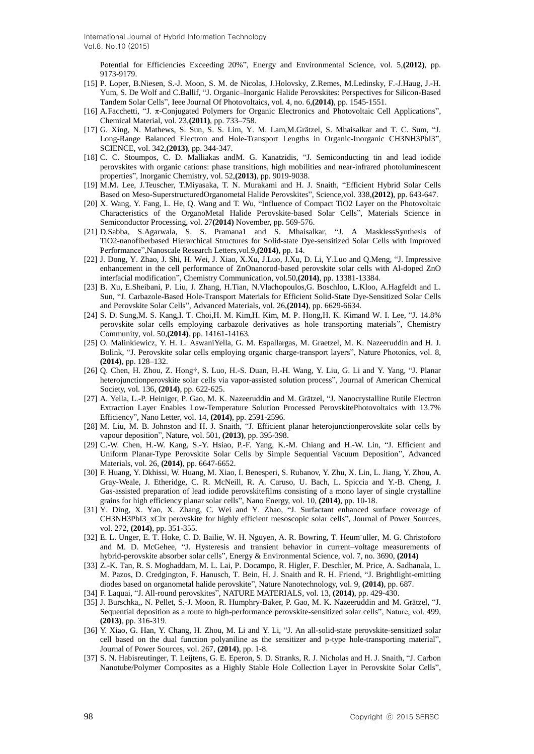Potential for Efficiencies Exceeding 20%", Energy and Environmental Science, vol. 5,**(2012)**, pp. 9173-9179.

- [15] P. Loper, B.Niesen, S.-J. Moon, S. M. de Nicolas, J.Holovsky, Z.Remes, M.Ledinsky, F.-J.Haug, J.-H. Yum, S. De Wolf and C.Ballif, "J. Organic–Inorganic Halide Perovskites: Perspectives for Silicon-Based Tandem Solar Cells", Ieee Journal Of Photovoltaics, vol. 4, no. 6,**(2014)**, pp. 1545-1551.
- [16] A.Facchetti, "J. π-Conjugated Polymers for Organic Electronics and Photovoltaic Cell Applications", Chemical Material, vol. 23,**(2011)**, pp. 733–758.
- [17] G. Xing, N. Mathews, S. Sun, S. S. Lim, Y. M. Lam,M.Grätzel, S. Mhaisalkar and T. C. Sum, "J. Long-Range Balanced Electron and Hole-Transport Lengths in Organic-Inorganic CH3NH3PbI3", SCIENCE, vol. 342,**(2013)**, pp. 344-347.
- [18] C. C. Stoumpos, C. D. Malliakas andM. G. Kanatzidis, "J. Semiconducting tin and lead iodide perovskites with organic cations: phase transitions, high mobilities and near-infrared photoluminescent properties", Inorganic Chemistry, vol. 52,**(2013)**, pp. 9019-9038.
- [19] M.M. Lee, J.Teuscher, T.Miyasaka, T. N. Murakami and H. J. Snaith, "Efficient Hybrid Solar Cells Based on Meso-SuperstructuredOrganometal Halide Perovskites", Science,vol. 338,**(2012)**, pp. 643-647.
- [20] X. Wang, Y. Fang, L. He, Q. Wang and T. Wu, "Influence of Compact TiO2 Layer on the Photovoltaic Characteristics of the OrganoMetal Halide Perovskite-based Solar Cells", Materials Science in Semiconductor Processing, vol. 27**(2014)** November, pp. 569-576.
- [21] D.Sabba, S.Agarwala, S. S. Pramana1 and S. Mhaisalkar, "J. A MasklessSynthesis of TiO2-nanofiberbased Hierarchical Structures for Solid-state Dye-sensitized Solar Cells with Improved Performance",Nanoscale Research Letters,vol.9,**(2014)**, pp. 14.
- [22] J. Dong, Y. Zhao, J. Shi, H. Wei, J. Xiao, X.Xu, J.Luo, J.Xu, D. Li, Y.Luo and Q.Meng, "J. Impressive enhancement in the cell performance of ZnOnanorod-based perovskite solar cells with Al-doped ZnO interfacial modification", Chemistry Communication, vol.50,**(2014)**, pp. 13381-13384.
- [23] B. Xu, E.Sheibani, P. Liu, J. Zhang, H.Tian, N.Vlachopoulos,G. Boschloo, L.Kloo, A.Hagfeldt and L. Sun, "J. Carbazole-Based Hole-Transport Materials for Efficient Solid-State Dye-Sensitized Solar Cells and Perovskite Solar Cells", Advanced Materials, vol. 26,**(2014)**, pp. 6629-6634.
- [24] S. D. Sung,M. S. Kang,I. T. Choi,H. M. Kim,H. Kim, M. P. Hong,H. K. Kimand W. I. Lee, "J. 14.8% perovskite solar cells employing carbazole derivatives as hole transporting materials", Chemistry Community, vol. 50,**(2014)**, pp. 14161-14163.
- [25] O. Malinkiewicz, Y. H. L. AswaniYella, G. M. Espallargas, M. Graetzel, M. K. Nazeeruddin and H. J. Bolink, "J. Perovskite solar cells employing organic charge-transport layers", Nature Photonics, vol. 8, **(2014)**, pp. 128–132.
- [26] Q. Chen, H. Zhou, Z. Hong†, S. Luo, H.-S. Duan, H.-H. Wang, Y. Liu, G. Li and Y. Yang, "J. Planar heterojunctionperovskite solar cells via vapor-assisted solution process", Journal of American Chemical Society, vol. 136, **(2014)**, pp. 622-625.
- [27] A. Yella, L.-P. Heiniger, P. Gao, M. K. Nazeeruddin and M. Grätzel, "J. Nanocrystalline Rutile Electron Extraction Layer Enables Low-Temperature Solution Processed PerovskitePhotovoltaics with 13.7% Efficiency", Nano Letter, vol. 14, **(2014)**, pp. 2591-2596.
- [28] M. Liu, M. B. Johnston and H. J. Snaith, "J. Efficient planar heterojunctionperovskite solar cells by vapour deposition", Nature, vol. 501, **(2013)**, pp. 395-398.
- [29] C.-W. Chen, H.-W. Kang, S.-Y. Hsiao, P.-F. Yang, K.-M. Chiang and H.-W. Lin, "J. Efficient and Uniform Planar-Type Perovskite Solar Cells by Simple Sequential Vacuum Deposition", Advanced Materials, vol. 26, **(2014)**, pp. 6647-6652.
- [30] F. Huang, Y. Dkhissi, W. Huang, M. Xiao, I. Benesperi, S. Rubanov, Y. Zhu, X. Lin, L. Jiang, Y. Zhou, A. Gray-Weale, J. Etheridge, C. R. McNeill, R. A. Caruso, U. Bach, L. Spiccia and Y.-B. Cheng, J. Gas-assisted preparation of lead iodide perovskitefilms consisting of a mono layer of single crystalline grains for high efficiency planar solar cells", Nano Energy, vol. 10, **(2014)**, pp. 10-18.
- [31] Y. Ding, X. Yao, X. Zhang, C. Wei and Y. Zhao, "J. Surfactant enhanced surface coverage of CH3NH3PbI3\_xClx perovskite for highly efficient mesoscopic solar cells", Journal of Power Sources, vol. 272, **(2014)**, pp. 351-355.
- [32] E. L. Unger, E. T. Hoke, C. D. Bailie, W. H. Nguyen, A. R. Bowring, T. Heum¨uller, M. G. Christoforo and M. D. McGehee, "J. Hysteresis and transient behavior in current–voltage measurements of hybrid-perovskite absorber solar cells", Energy & Environmental Science, vol. 7, no. 3690, **(2014)**
- [33] Z.-K. Tan, R. S. Moghaddam, M. L. Lai, P. Docampo, R. Higler, F. Deschler, M. Price, A. Sadhanala, L. M. Pazos, D. Credgington, F. Hanusch, T. Bein, H. J. Snaith and R. H. Friend, "J. Brightlight-emitting diodes based on organometal halide perovskite", Nature Nanotechnology, vol. 9, **(2014)**, pp. 687.
- [34] F. Laquai, "J. All-round perovskites", NATURE MATERIALS, vol. 13, **(2014)**, pp. 429-430.
- [35] J. Burschka,, N. Pellet, S.-J. Moon, R. Humphry-Baker, P. Gao, M. K. Nazeeruddin and M. Grätzel, "J. Sequential deposition as a route to high-performance perovskite-sensitized solar cells", Nature, vol. 499, **(2013)**, pp. 316-319.
- [36] Y. Xiao, G. Han, Y. Chang, H. Zhou, M. Li and Y. Li, "J. An all-solid-state perovskite-sensitized solar cell based on the dual function polyaniline as the sensitizer and p-type hole-transporting material", Journal of Power Sources, vol. 267, **(2014)**, pp. 1-8.
- [37] S. N. Habisreutinger, T. Leijtens, G. E. Eperon, S. D. Stranks, R. J. Nicholas and H. J. Snaith, "J. Carbon Nanotube/Polymer Composites as a Highly Stable Hole Collection Layer in Perovskite Solar Cells",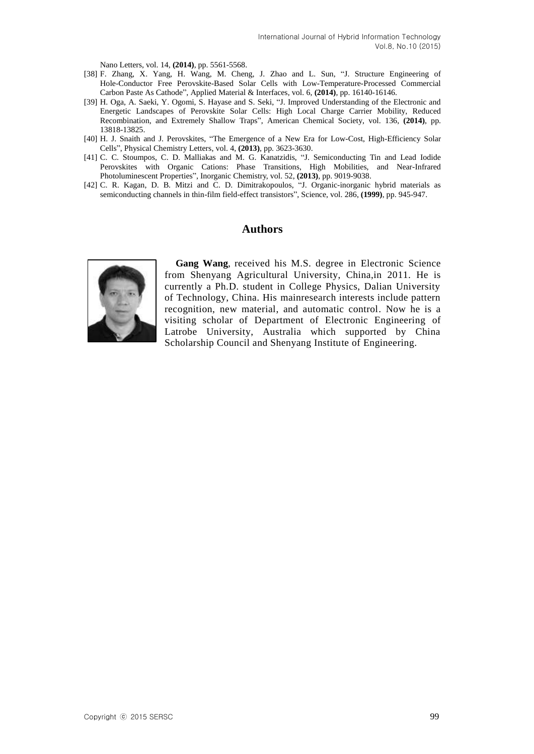Nano Letters, vol. 14, **(2014)**, pp. 5561-5568.

- [38] F. Zhang, X. Yang, H. Wang, M. Cheng, J. Zhao and L. Sun, "J. Structure Engineering of Hole-Conductor Free Perovskite-Based Solar Cells with Low-Temperature-Processed Commercial Carbon Paste As Cathode", Applied Material & Interfaces, vol. 6, **(2014)**, pp. 16140-16146.
- [39] H. Oga, A. Saeki, Y. Ogomi, S. Hayase and S. Seki, "J. Improved Understanding of the Electronic and Energetic Landscapes of Perovskite Solar Cells: High Local Charge Carrier Mobility, Reduced Recombination, and Extremely Shallow Traps", American Chemical Society, vol. 136, **(2014)**, pp. 13818-13825.
- [40] H. J. Snaith and J. Perovskites, "The Emergence of a New Era for Low-Cost, High-Efficiency Solar Cells", Physical Chemistry Letters, vol. 4, **(2013)**, pp. 3623-3630.
- [41] C. C. Stoumpos, C. D. Malliakas and M. G. Kanatzidis, "J. Semiconducting Tin and Lead Iodide Perovskites with Organic Cations: Phase Transitions, High Mobilities, and Near-Infrared Photoluminescent Properties", Inorganic Chemistry, vol. 52, **(2013)**, pp. 9019-9038.
- [42] C. R. Kagan, D. B. Mitzi and C. D. Dimitrakopoulos, "J. Organic-inorganic hybrid materials as semiconducting channels in thin-film field-effect transistors", Science, vol. 286, **(1999)**, pp. 945-947.

#### **Authors**



**Gang Wang**, received his M.S. degree in Electronic Science from Shenyang Agricultural University, China,in 2011. He is currently a Ph.D. student in College Physics, Dalian University of Technology, China. His mainresearch interests include pattern recognition, new material, and automatic control. Now he is a visiting scholar of Department of Electronic Engineering of Latrobe University, Australia which supported by China Scholarship Council and Shenyang Institute of Engineering.